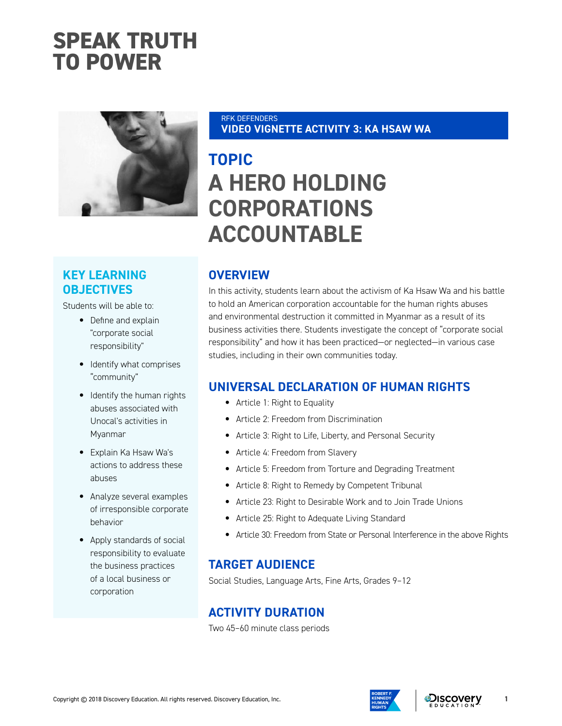## **SPEAK TRUTH TO POWER**



### **KEY LEARNING OBJECTIVES**

Students will be able to:

- Define and explain "corporate social responsibility"
- Identify what comprises "community"
- Identify the human rights abuses associated with Unocal's activities in Myanmar
- Explain Ka Hsaw Wa's actions to address these abuses
- Analyze several examples of irresponsible corporate behavior
- Apply standards of social responsibility to evaluate the business practices of a local business or corporation

#### RFK DEFENDERS **VIDEO VIGNETTE ACTIVITY 3: KA HSAW WA**

## **TOPIC A HERO HOLDING CORPORATIONS ACCOUNTABLE**

## **OVERVIEW**

In this activity, students learn about the activism of Ka Hsaw Wa and his battle to hold an American corporation accountable for the human rights abuses and environmental destruction it committed in Myanmar as a result of its business activities there. Students investigate the concept of "corporate social responsibility" and how it has been practiced—or neglected—in various case studies, including in their own communities today.

### **UNIVERSAL DECLARATION OF HUMAN RIGHTS**

- Article 1: Right to Equality
- Article 2: Freedom from Discrimination
- Article 3: Right to Life, Liberty, and Personal Security
- Article 4: Freedom from Slavery
- Article 5: Freedom from Torture and Degrading Treatment
- Article 8: Right to Remedy by Competent Tribunal
- Article 23: Right to Desirable Work and to Join Trade Unions
- Article 25: Right to Adequate Living Standard
- Article 30: Freedom from State or Personal Interference in the above Rights

#### **TARGET AUDIENCE**

Social Studies, Language Arts, Fine Arts, Grades 9–12

### **ACTIVITY DURATION**

Two 45–60 minute class periods

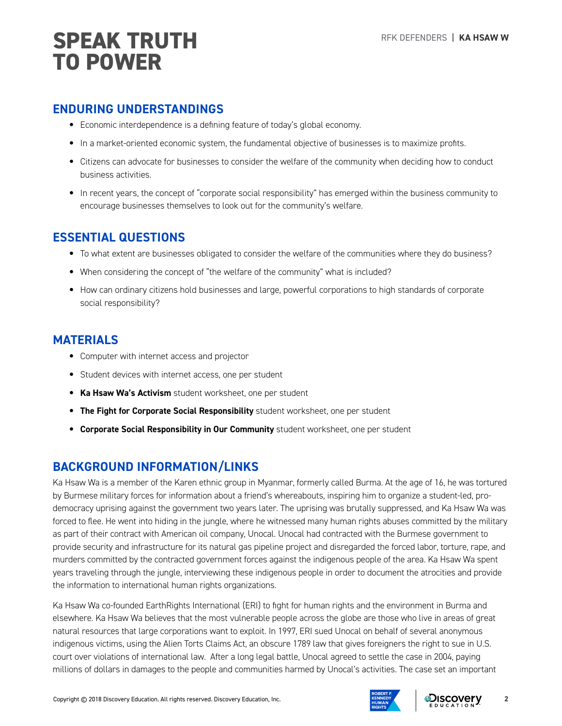#### **ENDURING UNDERSTANDINGS**

- Economic interdependence is a defining feature of today's global economy.
- In a market-oriented economic system, the fundamental objective of businesses is to maximize profits.
- Citizens can advocate for businesses to consider the welfare of the community when deciding how to conduct business activities.
- In recent years, the concept of "corporate social responsibility" has emerged within the business community to encourage businesses themselves to look out for the community's welfare.

### **ESSENTIAL QUESTIONS**

- To what extent are businesses obligated to consider the welfare of the communities where they do business?
- When considering the concept of "the welfare of the community" what is included?
- How can ordinary citizens hold businesses and large, powerful corporations to high standards of corporate social responsibility?

#### **MATERIALS**

- Computer with internet access and projector
- Student devices with internet access, one per student
- **Ka Hsaw Wa's Activism** student worksheet, one per student
- **The Fight for Corporate Social Responsibility** student worksheet, one per student
- **Corporate Social Responsibility in Our Community** student worksheet, one per student

### **BACKGROUND INFORMATION/LINKS**

Ka Hsaw Wa is a member of the Karen ethnic group in Myanmar, formerly called Burma. At the age of 16, he was tortured by Burmese military forces for information about a friend's whereabouts, inspiring him to organize a student-led, prodemocracy uprising against the government two years later. The uprising was brutally suppressed, and Ka Hsaw Wa was forced to flee. He went into hiding in the jungle, where he witnessed many human rights abuses committed by the military as part of their contract with American oil company, Unocal. Unocal had contracted with the Burmese government to provide security and infrastructure for its natural gas pipeline project and disregarded the forced labor, torture, rape, and murders committed by the contracted government forces against the indigenous people of the area. Ka Hsaw Wa spent years traveling through the jungle, interviewing these indigenous people in order to document the atrocities and provide the information to international human rights organizations.

Ka Hsaw Wa co-founded EarthRights International (ERI) to fight for human rights and the environment in Burma and elsewhere. Ka Hsaw Wa believes that the most vulnerable people across the globe are those who live in areas of great natural resources that large corporations want to exploit. In 1997, ERI sued Unocal on behalf of several anonymous indigenous victims, using the Alien Torts Claims Act, an obscure 1789 law that gives foreigners the right to sue in U.S. court over violations of international law. After a long legal battle, Unocal agreed to settle the case in 2004, paying millions of dollars in damages to the people and communities harmed by Unocal's activities. The case set an important

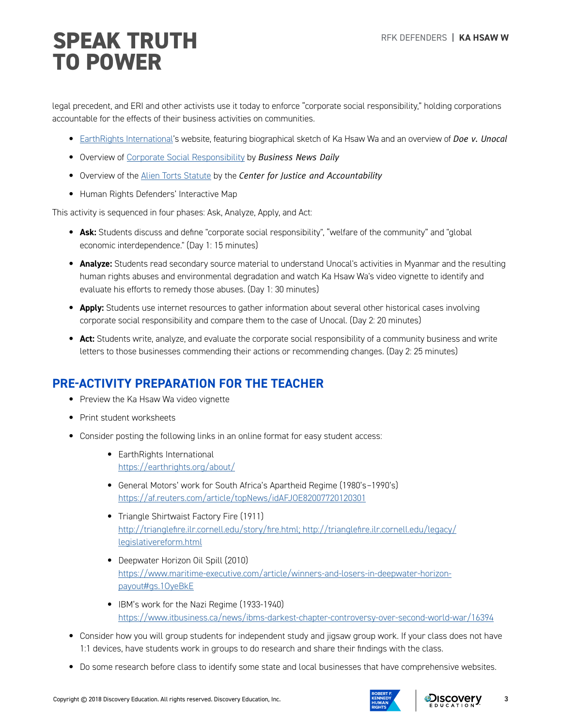# RFK DEFENDERS **| KA HSAW W SPEAK TRUTH TO POWER**

legal precedent, and ERI and other activists use it today to enforce "corporate social responsibility," holding corporations accountable for the effects of their business activities on communities.

- [EarthRights International'](https://earthrights.org)s website, featuring biographical sketch of Ka Hsaw Wa and an overview of *Doe v. Unocal*
- Overview of [Corporate Social Responsibility](https://www.businessnewsdaily.com/4679-corporate-social-responsibility.html) by *Business News Daily*
- Overview of the [Alien Torts Statute](https://cja.org/what-we-do/litigation/legal-strategy/the-alien-tort-statute/) by the *Center for Justice and Accountability*
- Human Rights Defenders' Interactive Map

This activity is sequenced in four phases: Ask, Analyze, Apply, and Act:

- **Ask:** Students discuss and define "corporate social responsibility", "welfare of the community" and "global economic interdependence." (Day 1: 15 minutes)
- **Analyze:** Students read secondary source material to understand Unocal's activities in Myanmar and the resulting human rights abuses and environmental degradation and watch Ka Hsaw Wa's video vignette to identify and evaluate his efforts to remedy those abuses. (Day 1: 30 minutes)
- **Apply:** Students use internet resources to gather information about several other historical cases involving corporate social responsibility and compare them to the case of Unocal. (Day 2: 20 minutes)
- **Act:** Students write, analyze, and evaluate the corporate social responsibility of a community business and write letters to those businesses commending their actions or recommending changes. (Day 2: 25 minutes)

## **PRE-ACTIVITY PREPARATION FOR THE TEACHER**

- Preview the Ka Hsaw Wa video vignette
- Print student worksheets
- Consider posting the following links in an online format for easy student access:
	- EarthRights International <https://earthrights.org/about/>
	- General Motors' work for South Africa's Apartheid Regime (1980's–1990's) <https://af.reuters.com/article/topNews/idAFJOE82007720120301>
	- Triangle Shirtwaist Factory Fire (1911) [http://trianglefire.ilr.cornell.edu/story/fire.html; http://trianglefire.ilr.cornell.edu/legacy/](http://trianglefire.ilr.cornell.edu/story/fire.html; http://trianglefire.ilr.cornell.edu/legacy/legislativereform.html) [legislativereform.html](http://trianglefire.ilr.cornell.edu/story/fire.html; http://trianglefire.ilr.cornell.edu/legacy/legislativereform.html)
	- Deepwater Horizon Oil Spill (2010) [https://www.maritime-executive.com/article/winners-and-losers-in-deepwater-horizon](https://www.maritime-executive.com/article/winners-and-losers-in-deepwater-horizon-payout#gs.1OyeBkE)[payout#gs.1OyeBkE](https://www.maritime-executive.com/article/winners-and-losers-in-deepwater-horizon-payout#gs.1OyeBkE)
	- IBM's work for the Nazi Regime (1933-1940) <https://www.itbusiness.ca/news/ibms-darkest-chapter-controversy-over-second-world-war/16394>
- Consider how you will group students for independent study and jigsaw group work. If your class does not have 1:1 devices, have students work in groups to do research and share their findings with the class.
- Do some research before class to identify some state and local businesses that have comprehensive websites.



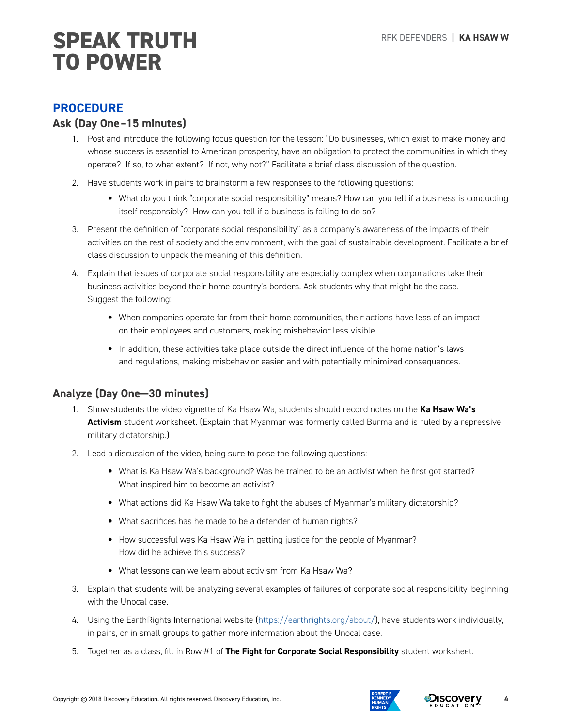## **SPEAK TRUTH** REK DEFENDERS | KA HSAW W **TO POWER**

#### **PROCEDURE**

#### **Ask (Day One–15 minutes)**

- 1. Post and introduce the following focus question for the lesson: "Do businesses, which exist to make money and whose success is essential to American prosperity, have an obligation to protect the communities in which they operate? If so, to what extent? If not, why not?" Facilitate a brief class discussion of the question.
- 2. Have students work in pairs to brainstorm a few responses to the following questions:
	- What do you think "corporate social responsibility" means? How can you tell if a business is conducting itself responsibly? How can you tell if a business is failing to do so?
- 3. Present the definition of "corporate social responsibility" as a company's awareness of the impacts of their activities on the rest of society and the environment, with the goal of sustainable development. Facilitate a brief class discussion to unpack the meaning of this definition.
- 4. Explain that issues of corporate social responsibility are especially complex when corporations take their business activities beyond their home country's borders. Ask students why that might be the case. Suggest the following:
	- When companies operate far from their home communities, their actions have less of an impact on their employees and customers, making misbehavior less visible.
	- In addition, these activities take place outside the direct influence of the home nation's laws and regulations, making misbehavior easier and with potentially minimized consequences.

### **Analyze (Day One—30 minutes)**

- 1. Show students the video vignette of Ka Hsaw Wa; students should record notes on the **Ka Hsaw Wa's Activism** student worksheet. (Explain that Myanmar was formerly called Burma and is ruled by a repressive military dictatorship.)
- 2. Lead a discussion of the video, being sure to pose the following questions:
	- What is Ka Hsaw Wa's background? Was he trained to be an activist when he first got started? What inspired him to become an activist?
	- What actions did Ka Hsaw Wa take to fight the abuses of Myanmar's military dictatorship?
	- What sacrifices has he made to be a defender of human rights?
	- How successful was Ka Hsaw Wa in getting justice for the people of Myanmar? How did he achieve this success?
	- What lessons can we learn about activism from Ka Hsaw Wa?
- 3. Explain that students will be analyzing several examples of failures of corporate social responsibility, beginning with the Unocal case.
- 4. Using the EarthRights International website ([https://earthrights.org/about/\)](https://earthrights.org/about/), have students work individually, in pairs, or in small groups to gather more information about the Unocal case.
- 5. Together as a class, fill in Row #1 of **The Fight for Corporate Social Responsibility** student worksheet.



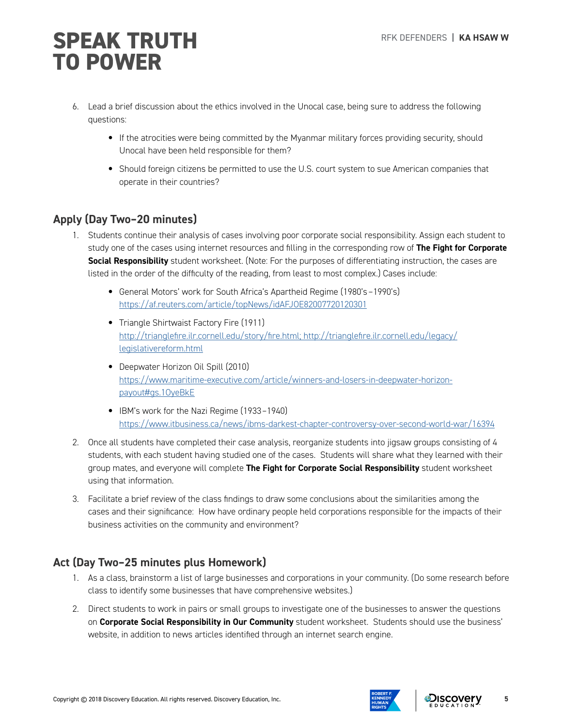# RFK DEFENDERS **| KA HSAW W SPEAK TRUTH TO POWER**

- 6. Lead a brief discussion about the ethics involved in the Unocal case, being sure to address the following questions:
	- If the atrocities were being committed by the Myanmar military forces providing security, should Unocal have been held responsible for them?
	- Should foreign citizens be permitted to use the U.S. court system to sue American companies that operate in their countries?

### **Apply (Day Two–20 minutes)**

- 1. Students continue their analysis of cases involving poor corporate social responsibility. Assign each student to study one of the cases using internet resources and filling in the corresponding row of **The Fight for Corporate Social Responsibility** student worksheet. (Note: For the purposes of differentiating instruction, the cases are listed in the order of the difficulty of the reading, from least to most complex.) Cases include:
	- General Motors' work for South Africa's Apartheid Regime (1980's–1990's) <https://af.reuters.com/article/topNews/idAFJOE82007720120301>
	- Triangle Shirtwaist Factory Fire (1911) [http://trianglefire.ilr.cornell.edu/story/fire.html; http://trianglefire.ilr.cornell.edu/legacy/](http://trianglefire.ilr.cornell.edu/story/fire.html; http://trianglefire.ilr.cornell.edu/legacy/legislativereform.html) [legislativereform.html](http://trianglefire.ilr.cornell.edu/story/fire.html; http://trianglefire.ilr.cornell.edu/legacy/legislativereform.html)
	- Deepwater Horizon Oil Spill (2010) [https://www.maritime-executive.com/article/winners-and-losers-in-deepwater-horizon](https://www.maritime-executive.com/article/winners-and-losers-in-deepwater-horizon-payout#gs.1OyeBkE)[payout#gs.1OyeBkE](https://www.maritime-executive.com/article/winners-and-losers-in-deepwater-horizon-payout#gs.1OyeBkE)
	- IBM's work for the Nazi Regime (1933–1940) <https://www.itbusiness.ca/news/ibms-darkest-chapter-controversy-over-second-world-war/16394>
- 2. Once all students have completed their case analysis, reorganize students into jigsaw groups consisting of 4 students, with each student having studied one of the cases. Students will share what they learned with their group mates, and everyone will complete **The Fight for Corporate Social Responsibility** student worksheet using that information.
- 3. Facilitate a brief review of the class findings to draw some conclusions about the similarities among the cases and their significance: How have ordinary people held corporations responsible for the impacts of their business activities on the community and environment?

### **Act (Day Two–25 minutes plus Homework)**

- 1. As a class, brainstorm a list of large businesses and corporations in your community. (Do some research before class to identify some businesses that have comprehensive websites.)
- 2. Direct students to work in pairs or small groups to investigate one of the businesses to answer the questions on **Corporate Social Responsibility in Our Community** student worksheet. Students should use the business' website, in addition to news articles identified through an internet search engine.



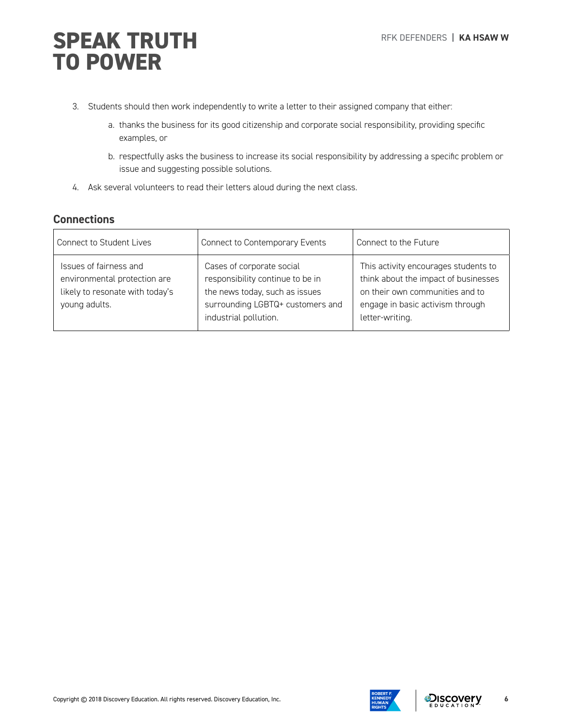# **SPEAK TRUTH** REK DEFENDERS | KA HSAW W **TO POWER**

- 3. Students should then work independently to write a letter to their assigned company that either:
	- a. thanks the business for its good citizenship and corporate social responsibility, providing specific examples, or
	- b. respectfully asks the business to increase its social responsibility by addressing a specific problem or issue and suggesting possible solutions.
- 4. Ask several volunteers to read their letters aloud during the next class.

#### **Connections**

| Connect to Student Lives                                                                                   | Connect to Contemporary Events                                                                                                                               | Connect to the Future                                                                                                                                                  |
|------------------------------------------------------------------------------------------------------------|--------------------------------------------------------------------------------------------------------------------------------------------------------------|------------------------------------------------------------------------------------------------------------------------------------------------------------------------|
| Issues of fairness and<br>environmental protection are<br>likely to resonate with today's<br>young adults. | Cases of corporate social<br>responsibility continue to be in<br>the news today, such as issues<br>surrounding LGBTQ+ customers and<br>industrial pollution. | This activity encourages students to<br>think about the impact of businesses<br>on their own communities and to<br>engage in basic activism through<br>letter-writing. |

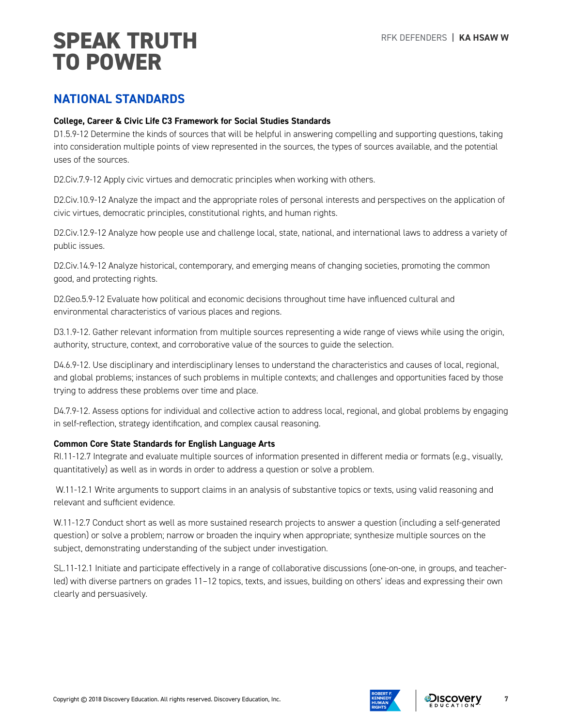# RFK DEFENDERS **| KA HSAW W SPEAK TRUTH TO POWER**

## **NATIONAL STANDARDS**

#### **College, Career & Civic Life C3 Framework for Social Studies Standards**

D1.5.9-12 Determine the kinds of sources that will be helpful in answering compelling and supporting questions, taking into consideration multiple points of view represented in the sources, the types of sources available, and the potential uses of the sources.

D2.Civ.7.9-12 Apply civic virtues and democratic principles when working with others.

D2.Civ.10.9-12 Analyze the impact and the appropriate roles of personal interests and perspectives on the application of civic virtues, democratic principles, constitutional rights, and human rights.

D2.Civ.12.9-12 Analyze how people use and challenge local, state, national, and international laws to address a variety of public issues.

D2.Civ.14.9-12 Analyze historical, contemporary, and emerging means of changing societies, promoting the common good, and protecting rights.

D2.Geo.5.9-12 Evaluate how political and economic decisions throughout time have influenced cultural and environmental characteristics of various places and regions.

D3.1.9-12. Gather relevant information from multiple sources representing a wide range of views while using the origin, authority, structure, context, and corroborative value of the sources to guide the selection.

D4.6.9-12. Use disciplinary and interdisciplinary lenses to understand the characteristics and causes of local, regional, and global problems; instances of such problems in multiple contexts; and challenges and opportunities faced by those trying to address these problems over time and place.

D4.7.9-12. Assess options for individual and collective action to address local, regional, and global problems by engaging in self-reflection, strategy identification, and complex causal reasoning.

#### **Common Core State Standards for English Language Arts**

RI.11-12.7 Integrate and evaluate multiple sources of information presented in different media or formats (e.g., visually, quantitatively) as well as in words in order to address a question or solve a problem.

W.11-12.1 Write arguments to support claims in an analysis of substantive topics or texts, using valid reasoning and relevant and sufficient evidence.

W.11-12.7 Conduct short as well as more sustained research projects to answer a question (including a self-generated question) or solve a problem; narrow or broaden the inquiry when appropriate; synthesize multiple sources on the subject, demonstrating understanding of the subject under investigation.

SL.11-12.1 Initiate and participate effectively in a range of collaborative discussions (one-on-one, in groups, and teacherled) with diverse partners on grades 11–12 topics, texts, and issues, building on others' ideas and expressing their own clearly and persuasively.



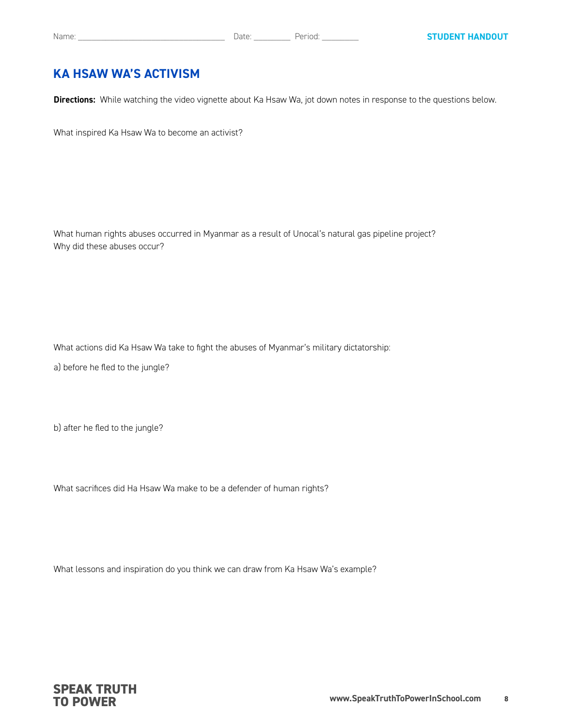#### **KA HSAW WA'S ACTIVISM**

**Directions:** While watching the video vignette about Ka Hsaw Wa, jot down notes in response to the questions below.

What inspired Ka Hsaw Wa to become an activist?

What human rights abuses occurred in Myanmar as a result of Unocal's natural gas pipeline project? Why did these abuses occur?

What actions did Ka Hsaw Wa take to fight the abuses of Myanmar's military dictatorship:

a) before he fled to the jungle?

b) after he fled to the jungle?

What sacrifices did Ha Hsaw Wa make to be a defender of human rights?

What lessons and inspiration do you think we can draw from Ka Hsaw Wa's example?

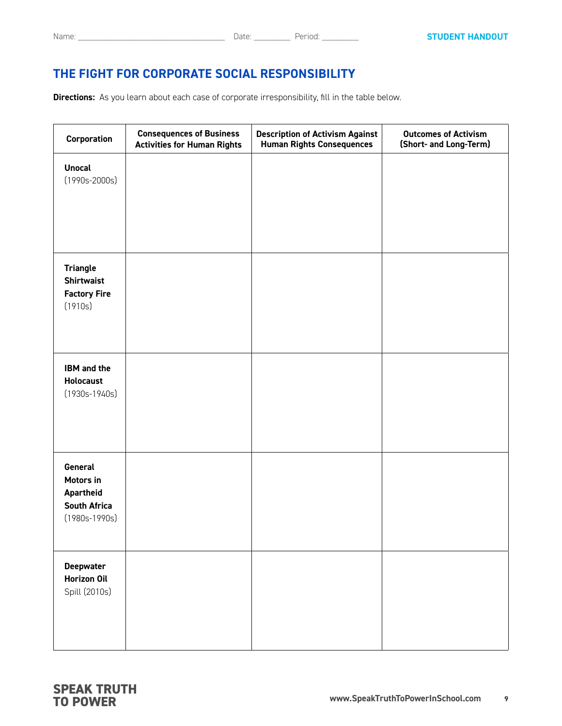## **THE FIGHT FOR CORPORATE SOCIAL RESPONSIBILITY**

**Directions:** As you learn about each case of corporate irresponsibility, fill in the table below.

| Corporation                                                                 | <b>Consequences of Business</b><br><b>Activities for Human Rights</b> | <b>Description of Activism Against</b><br><b>Human Rights Consequences</b> | <b>Outcomes of Activism</b><br>(Short- and Long-Term) |
|-----------------------------------------------------------------------------|-----------------------------------------------------------------------|----------------------------------------------------------------------------|-------------------------------------------------------|
| <b>Unocal</b><br>$(1990s - 2000s)$                                          |                                                                       |                                                                            |                                                       |
| <b>Triangle</b><br><b>Shirtwaist</b><br><b>Factory Fire</b><br>(1910s)      |                                                                       |                                                                            |                                                       |
| <b>IBM</b> and the<br><b>Holocaust</b><br>$(1930s-1940s)$                   |                                                                       |                                                                            |                                                       |
| General<br>Motors in<br>Apartheid<br><b>South Africa</b><br>$(1980s-1990s)$ |                                                                       |                                                                            |                                                       |
| <b>Deepwater</b><br>Horizon Oil<br>Spill (2010s)                            |                                                                       |                                                                            |                                                       |